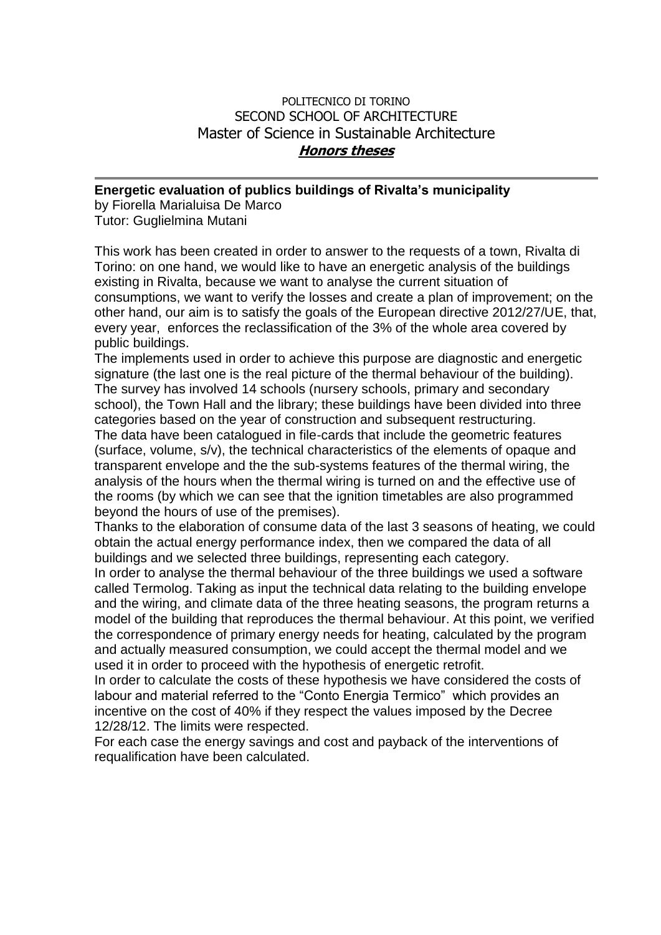## POLITECNICO DI TORINO SECOND SCHOOL OF ARCHITECTURE Master of Science in Sustainable Architecture **Honors theses**

## **Energetic evaluation of publics buildings of Rivalta's municipality**

by Fiorella Marialuisa De Marco Tutor: Guglielmina Mutani

This work has been created in order to answer to the requests of a town, Rivalta di Torino: on one hand, we would like to have an energetic analysis of the buildings existing in Rivalta, because we want to analyse the current situation of consumptions, we want to verify the losses and create a plan of improvement; on the other hand, our aim is to satisfy the goals of the European directive 2012/27/UE, that, every year, enforces the reclassification of the 3% of the whole area covered by public buildings.

The implements used in order to achieve this purpose are diagnostic and energetic signature (the last one is the real picture of the thermal behaviour of the building). The survey has involved 14 schools (nursery schools, primary and secondary school), the Town Hall and the library; these buildings have been divided into three categories based on the year of construction and subsequent restructuring.

The data have been catalogued in file-cards that include the geometric features (surface, volume, s/v), the technical characteristics of the elements of opaque and transparent envelope and the the sub-systems features of the thermal wiring, the analysis of the hours when the thermal wiring is turned on and the effective use of the rooms (by which we can see that the ignition timetables are also programmed beyond the hours of use of the premises).

Thanks to the elaboration of consume data of the last 3 seasons of heating, we could obtain the actual energy performance index, then we compared the data of all buildings and we selected three buildings, representing each category.

In order to analyse the thermal behaviour of the three buildings we used a software called Termolog. Taking as input the technical data relating to the building envelope and the wiring, and climate data of the three heating seasons, the program returns a model of the building that reproduces the thermal behaviour. At this point, we verified the correspondence of primary energy needs for heating, calculated by the program and actually measured consumption, we could accept the thermal model and we used it in order to proceed with the hypothesis of energetic retrofit.

In order to calculate the costs of these hypothesis we have considered the costs of labour and material referred to the "Conto Energia Termico" which provides an incentive on the cost of 40% if they respect the values imposed by the Decree 12/28/12. The limits were respected.

For each case the energy savings and cost and payback of the interventions of requalification have been calculated.